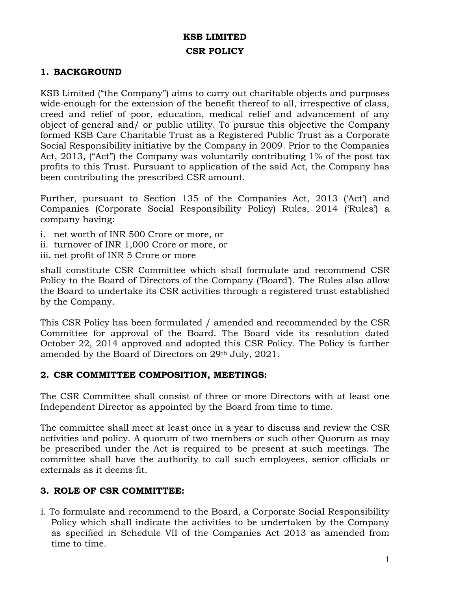# **KSB LIMITED CSR POLICY**

### **1. BACKGROUND**

KSB Limited ("the Company") aims to carry out charitable objects and purposes wide-enough for the extension of the benefit thereof to all, irrespective of class, creed and relief of poor, education, medical relief and advancement of any object of general and/ or public utility. To pursue this objective the Company formed KSB Care Charitable Trust as a Registered Public Trust as a Corporate Social Responsibility initiative by the Company in 2009. Prior to the Companies Act, 2013, ("Act") the Company was voluntarily contributing 1% of the post tax profits to this Trust. Pursuant to application of the said Act, the Company has been contributing the prescribed CSR amount.

Further, pursuant to Section 135 of the Companies Act, 2013 ('Act') and Companies (Corporate Social Responsibility Policy) Rules, 2014 ('Rules') a company having:

- i. net worth of INR 500 Crore or more, or
- ii. turnover of INR 1,000 Crore or more, or
- iii. net profit of INR 5 Crore or more

shall constitute CSR Committee which shall formulate and recommend CSR Policy to the Board of Directors of the Company ('Board'). The Rules also allow the Board to undertake its CSR activities through a registered trust established by the Company.

This CSR Policy has been formulated / amended and recommended by the CSR Committee for approval of the Board. The Board vide its resolution dated October 22, 2014 approved and adopted this CSR Policy. The Policy is further amended by the Board of Directors on 29th July, 2021.

#### **2. CSR COMMITTEE COMPOSITION, MEETINGS:**

The CSR Committee shall consist of three or more Directors with at least one Independent Director as appointed by the Board from time to time.

The committee shall meet at least once in a year to discuss and review the CSR activities and policy. A quorum of two members or such other Quorum as may be prescribed under the Act is required to be present at such meetings. The committee shall have the authority to call such employees, senior officials or externals as it deems fit.

#### **3. ROLE OF CSR COMMITTEE:**

i. To formulate and recommend to the Board, a Corporate Social Responsibility Policy which shall indicate the activities to be undertaken by the Company as specified in Schedule VII of the Companies Act 2013 as amended from time to time.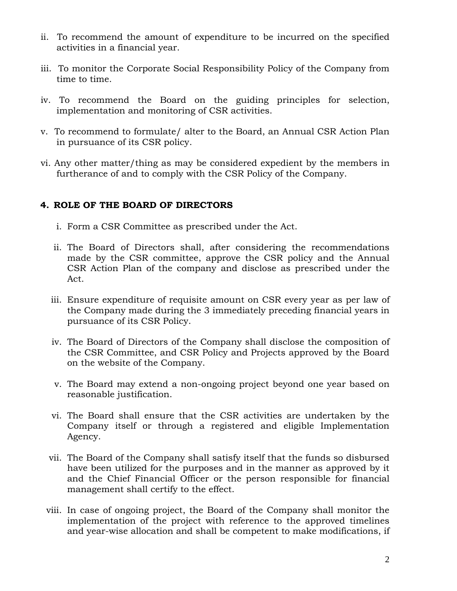- ii. To recommend the amount of expenditure to be incurred on the specified activities in a financial year.
- iii. To monitor the Corporate Social Responsibility Policy of the Company from time to time.
- iv. To recommend the Board on the guiding principles for selection, implementation and monitoring of CSR activities.
- v. To recommend to formulate/ alter to the Board, an Annual CSR Action Plan in pursuance of its CSR policy.
- vi. Any other matter/thing as may be considered expedient by the members in furtherance of and to comply with the CSR Policy of the Company.

# **4. ROLE OF THE BOARD OF DIRECTORS**

- i. Form a CSR Committee as prescribed under the Act.
- ii. The Board of Directors shall, after considering the recommendations made by the CSR committee, approve the CSR policy and the Annual CSR Action Plan of the company and disclose as prescribed under the Act.
- iii. Ensure expenditure of requisite amount on CSR every year as per law of the Company made during the 3 immediately preceding financial years in pursuance of its CSR Policy.
- iv. The Board of Directors of the Company shall disclose the composition of the CSR Committee, and CSR Policy and Projects approved by the Board on the website of the Company.
- v. The Board may extend a non-ongoing project beyond one year based on reasonable justification.
- vi. The Board shall ensure that the CSR activities are undertaken by the Company itself or through a registered and eligible Implementation Agency.
- vii. The Board of the Company shall satisfy itself that the funds so disbursed have been utilized for the purposes and in the manner as approved by it and the Chief Financial Officer or the person responsible for financial management shall certify to the effect.
- viii. In case of ongoing project, the Board of the Company shall monitor the implementation of the project with reference to the approved timelines and year-wise allocation and shall be competent to make modifications, if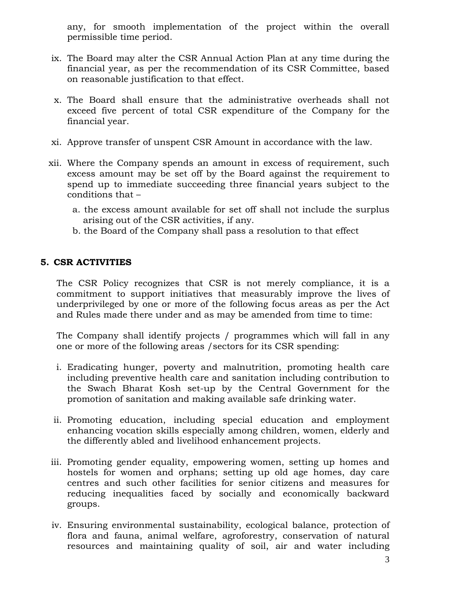any, for smooth implementation of the project within the overall permissible time period.

- ix. The Board may alter the CSR Annual Action Plan at any time during the financial year, as per the recommendation of its CSR Committee, based on reasonable justification to that effect.
- x. The Board shall ensure that the administrative overheads shall not exceed five percent of total CSR expenditure of the Company for the financial year.
- xi. Approve transfer of unspent CSR Amount in accordance with the law.
- xii. Where the Company spends an amount in excess of requirement, such excess amount may be set off by the Board against the requirement to spend up to immediate succeeding three financial years subject to the conditions that –
	- a. the excess amount available for set off shall not include the surplus arising out of the CSR activities, if any.
	- b. the Board of the Company shall pass a resolution to that effect

# **5. CSR ACTIVITIES**

The CSR Policy recognizes that CSR is not merely compliance, it is a commitment to support initiatives that measurably improve the lives of underprivileged by one or more of the following focus areas as per the Act and Rules made there under and as may be amended from time to time:

The Company shall identify projects / programmes which will fall in any one or more of the following areas /sectors for its CSR spending:

- i. Eradicating hunger, poverty and malnutrition, promoting health care including preventive health care and sanitation including contribution to the Swach Bharat Kosh set-up by the Central Government for the promotion of sanitation and making available safe drinking water.
- ii. Promoting education, including special education and employment enhancing vocation skills especially among children, women, elderly and the differently abled and livelihood enhancement projects.
- iii. Promoting gender equality, empowering women, setting up homes and hostels for women and orphans; setting up old age homes, day care centres and such other facilities for senior citizens and measures for reducing inequalities faced by socially and economically backward groups.
- iv. Ensuring environmental sustainability, ecological balance, protection of flora and fauna, animal welfare, agroforestry, conservation of natural resources and maintaining quality of soil, air and water including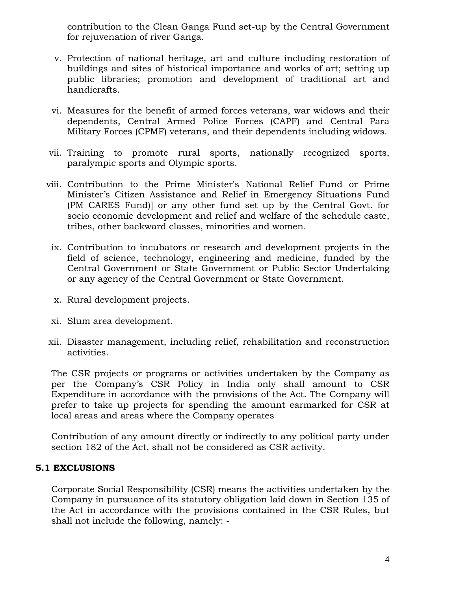contribution to the Clean Ganga Fund set-up by the Central Government for rejuvenation of river Ganga.

- v. Protection of national heritage, art and culture including restoration of buildings and sites of historical importance and works of art; setting up public libraries; promotion and development of traditional art and handicrafts.
- vi. Measures for the benefit of armed forces veterans, war widows and their dependents, Central Armed Police Forces (CAPF) and Central Para Military Forces (CPMF) veterans, and their dependents including widows.
- vii. Training to promote rural sports, nationally recognized sports, paralympic sports and Olympic sports.
- viii. Contribution to the Prime Minister's National Relief Fund or Prime Minister's Citizen Assistance and Relief in Emergency Situations Fund (PM CARES Fund)] or any other fund set up by the Central Govt. for socio economic development and relief and welfare of the schedule caste, tribes, other backward classes, minorities and women.
	- ix. Contribution to incubators or research and development projects in the field of science, technology, engineering and medicine, funded by the Central Government or State Government or Public Sector Undertaking or any agency of the Central Government or State Government.
	- x. Rural development projects.
	- xi. Slum area development.
- xii. Disaster management, including relief, rehabilitation and reconstruction activities.

The CSR projects or programs or activities undertaken by the Company as per the Company's CSR Policy in India only shall amount to CSR Expenditure in accordance with the provisions of the Act. The Company will prefer to take up projects for spending the amount earmarked for CSR at local areas and areas where the Company operates

Contribution of any amount directly or indirectly to any political party under section 182 of the Act, shall not be considered as CSR activity.

# **5.1 EXCLUSIONS**

Corporate Social Responsibility (CSR) means the activities undertaken by the Company in pursuance of its statutory obligation laid down in Section 135 of the Act in accordance with the provisions contained in the CSR Rules, but shall not include the following, namely: -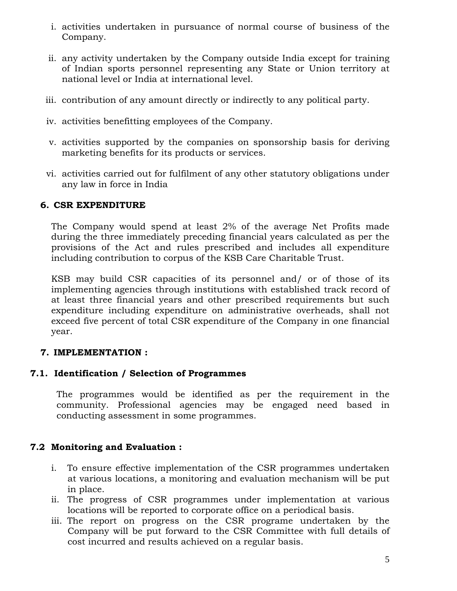- i. activities undertaken in pursuance of normal course of business of the Company.
- ii. any activity undertaken by the Company outside India except for training of Indian sports personnel representing any State or Union territory at national level or India at international level.
- iii. contribution of any amount directly or indirectly to any political party.
- iv. activities benefitting employees of the Company.
- v. activities supported by the companies on sponsorship basis for deriving marketing benefits for its products or services.
- vi. activities carried out for fulfilment of any other statutory obligations under any law in force in India

### **6. CSR EXPENDITURE**

The Company would spend at least 2% of the average Net Profits made during the three immediately preceding financial years calculated as per the provisions of the Act and rules prescribed and includes all expenditure including contribution to corpus of the KSB Care Charitable Trust.

KSB may build CSR capacities of its personnel and/ or of those of its implementing agencies through institutions with established track record of at least three financial years and other prescribed requirements but such expenditure including expenditure on administrative overheads, shall not exceed five percent of total CSR expenditure of the Company in one financial year.

#### **7. IMPLEMENTATION :**

# **7.1. Identification / Selection of Programmes**

The programmes would be identified as per the requirement in the community. Professional agencies may be engaged need based in conducting assessment in some programmes.

# **7.2 Monitoring and Evaluation :**

- i. To ensure effective implementation of the CSR programmes undertaken at various locations, a monitoring and evaluation mechanism will be put in place.
- ii. The progress of CSR programmes under implementation at various locations will be reported to corporate office on a periodical basis.
- iii. The report on progress on the CSR programe undertaken by the Company will be put forward to the CSR Committee with full details of cost incurred and results achieved on a regular basis.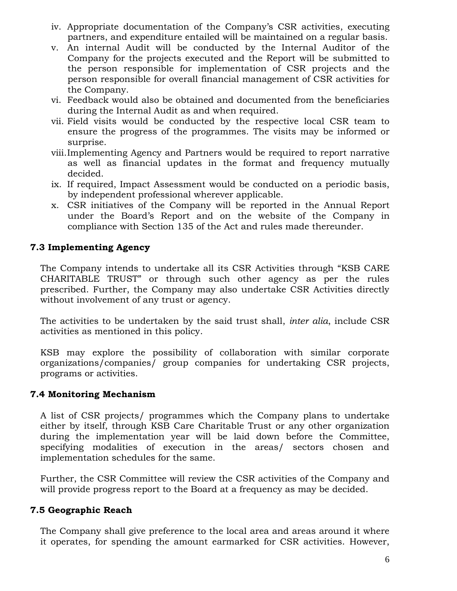- iv. Appropriate documentation of the Company's CSR activities, executing partners, and expenditure entailed will be maintained on a regular basis.
- v. An internal Audit will be conducted by the Internal Auditor of the Company for the projects executed and the Report will be submitted to the person responsible for implementation of CSR projects and the person responsible for overall financial management of CSR activities for the Company.
- vi. Feedback would also be obtained and documented from the beneficiaries during the Internal Audit as and when required.
- vii. Field visits would be conducted by the respective local CSR team to ensure the progress of the programmes. The visits may be informed or surprise.
- viii.Implementing Agency and Partners would be required to report narrative as well as financial updates in the format and frequency mutually decided.
- ix. If required, Impact Assessment would be conducted on a periodic basis, by independent professional wherever applicable.
- x. CSR initiatives of the Company will be reported in the Annual Report under the Board's Report and on the website of the Company in compliance with Section 135 of the Act and rules made thereunder.

### **7.3 Implementing Agency**

The Company intends to undertake all its CSR Activities through "KSB CARE CHARITABLE TRUST" or through such other agency as per the rules prescribed. Further, the Company may also undertake CSR Activities directly without involvement of any trust or agency.

The activities to be undertaken by the said trust shall, *inter alia*, include CSR activities as mentioned in this policy.

KSB may explore the possibility of collaboration with similar corporate organizations/companies/ group companies for undertaking CSR projects, programs or activities.

#### **7.4 Monitoring Mechanism**

A list of CSR projects/ programmes which the Company plans to undertake either by itself, through KSB Care Charitable Trust or any other organization during the implementation year will be laid down before the Committee, specifying modalities of execution in the areas/ sectors chosen and implementation schedules for the same.

Further, the CSR Committee will review the CSR activities of the Company and will provide progress report to the Board at a frequency as may be decided.

# **7.5 Geographic Reach**

The Company shall give preference to the local area and areas around it where it operates, for spending the amount earmarked for CSR activities. However,